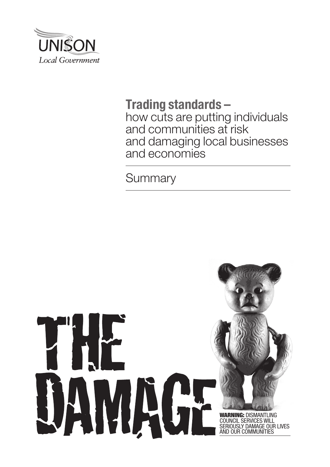

# **Trading standards –**

how cuts are putting individuals and communities at risk and damaging local businesses and economies

**Summary** 

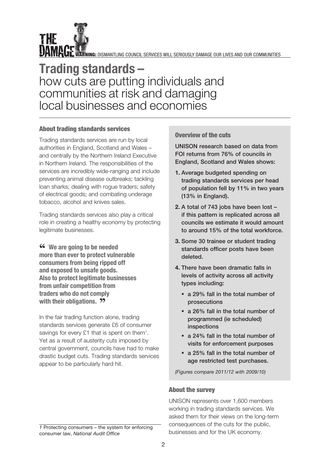

WAART TE WARNING: DISMANTLIN<u>G COUNCIL SERVICES WILL SERIOUSLY DAMAGE OUR LIVES AND OUR COMMUNITIES</u>

# **Trading standards –**  how cuts are putting individuals and communities at risk and damaging local businesses and economies

# About trading standards services

Trading standards services are run by local authorities in England, Scotland and Wales – and centrally by the Northern Ireland Executive in Northern Ireland. The responsibilities of the services are incredibly wide-ranging and include preventing animal disease outbreaks; tackling loan sharks; dealing with rogue traders; safety of electrical goods; and combating underage tobacco, alcohol and knives sales.

Trading standards services also play a critical role in creating a healthy economy by protecting legitimate businesses.

**" We are going to be needed more than ever to protect vulnerable consumers from being ripped off and exposed to unsafe goods. Also to protect legitimate businesses from unfair competition from traders who do not comply with their obligations. "** 

In the fair trading function alone, trading standards services generate £6 of consumer savings for every £1 that is spent on them<sup>1</sup>. Yet as a result of austerity cuts imposed by central government, councils have had to make drastic budget cuts. Trading standards services appear to be particularly hard hit.

*1* Protecting consumers – the system for enforcing consumer law, *National Audit Office*

## Overview of the cuts

UNISON research based on data from FOI returns from 76% of councils in England, Scotland and Wales shows:

- **1.** Average budgeted spending on trading standards services per head of population fell by 11% in two years (13% in England).
- **2.** A total of 743 jobs have been lost if this pattern is replicated across all councils we estimate it would amount to around 15% of the total workforce.
- **3.** Some 30 trainee or student trading standards officer posts have been deleted.
- **4.** There have been dramatic falls in levels of activity across all activity types including:
	- a 29% fall in the total number of prosecutions
	- **a** 26% fall in the total number of programmed (ie scheduled) inspections
	- a 24% fall in the total number of visits for enforcement purposes
	- a 25% fall in the total number of age restricted test purchases.

*(Figures compare 2011/12 with 2009/10)*

#### About the survey

UNISON represents over 1,600 members working in trading standards services. We asked them for their views on the long-term consequences of the cuts for the public, businesses and for the UK economy.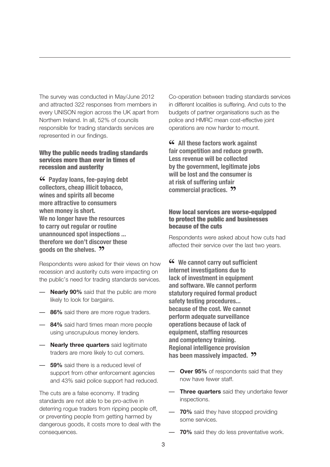The survey was conducted in May/June 2012 and attracted 322 responses from members in every UNISON region across the UK apart from Northern Ireland. In all, 52% of councils responsible for trading standards services are represented in our findings.

#### Why the public needs trading standards services more than ever in times of recession and austerity

**" Payday loans, fee-paying debt collectors, cheap illicit tobacco, wines and spirits all become more attractive to consumers when money is short. We no longer have the resources to carry out regular or routine unannounced spot inspections ... therefore we don't discover these goods on the shelves. "**

Respondents were asked for their views on how recession and austerity cuts were impacting on the public's need for trading standards services.

- **Nearly 90%** said that the public are more likely to look for bargains.
- **86%** said there are more rogue traders.
- **84%** said hard times mean more people using unscrupulous money lenders.
- **Nearly three quarters** said legitimate traders are more likely to cut corners.
- **59%** said there is a reduced level of support from other enforcement agencies and 43% said police support had reduced.

The cuts are a false economy. If trading standards are not able to be pro-active in deterring rogue traders from ripping people off, or preventing people from getting harmed by dangerous goods, it costs more to deal with the consequences.

Co-operation between trading standards services in different localities is suffering. And cuts to the budgets of partner organisations such as the police and HMRC mean cost-effective joint operations are now harder to mount.

**46** All these factors work against **fair competition and reduce growth. Less revenue will be collected by the government, legitimate jobs will be lost and the consumer is at risk of suffering unfair commercial practices. "**

### How local services are worse-equipped to protect the public and businesses because of the cuts

Respondents were asked about how cuts had affected their service over the last two years.

**" We cannot carry out sufficient internet investigations due to lack of investment in equipment and software. We cannot perform statutory required formal product safety testing procedures... because of the cost. We cannot perform adequate surveillance operations because of lack of equipment, staffing resources and competency training. Regional intelligence provision has been massively impacted. "**

- **Over 95%** of respondents said that they now have fewer staff.
- **Three quarters** said they undertake fewer inspections.
- **70%** said they have stopped providing some services.
- **70%** said they do less preventative work.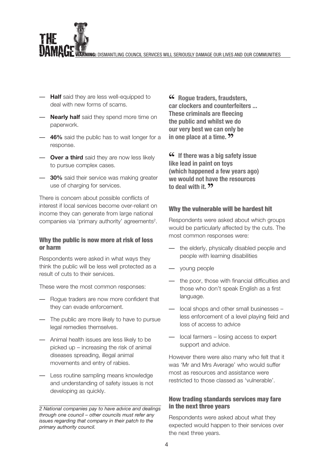NING: DISMANTLING COUNCIL SERVICES WILL SERIOUSLY DAMAGE OUR LIVES AND OUR COMMUNITIES

- **Half** said they are less well-equipped to deal with new forms of scams.
- **Nearly half** said they spend more time on paperwork.
- **46%** said the public has to wait longer for a response.
- **Over a third** said they are now less likely to pursue complex cases.
- **30%** said their service was making greater use of charging for services.

There is concern about possible conflicts of interest if local services become over-reliant on income they can generate from large national companies via 'primary authority' agreements<sup>2</sup>.

#### Why the public is now more at risk of loss or harm

Respondents were asked in what ways they think the public will be less well protected as a result of cuts to their services.

These were the most common responses:

- Rogue traders are now more confident that they can evade enforcement.
- The public are more likely to have to pursue legal remedies themselves.
- Animal health issues are less likely to be picked up – increasing the risk of animal diseases spreading, illegal animal movements and entry of rabies.
- Less routine sampling means knowledge and understanding of safety issues is not developing as quickly.

*2 National companies pay to have advice and dealings through one council – other councils must refer any issues regarding that company in their patch to the primary authority council.*

**" Rogue traders, fraudsters, car clockers and counterfeiters ... These criminals are fleecing the public and whilst we do our very best we can only be in one place at a time. <sup>22</sup>** 

**"15** If there was a big safety issue **like lead in paint on toys (which happened a few years ago) we would not have the resources to deal with it.**  $9$ 

#### Why the vulnerable will be hardest hit

Respondents were asked about which groups would be particularly affected by the cuts. The most common responses were:

- the elderly, physically disabled people and people with learning disabilities
- young people
- the poor, those with financial difficulties and those who don't speak English as a first language.
- local shops and other small businesses less enforcement of a level playing field and loss of access to advice
- local farmers losing access to expert support and advice.

However there were also many who felt that it was 'Mr and Mrs Average' who would suffer most as resources and assistance were restricted to those classed as 'vulnerable'.

### How trading standards services may fare in the next three years

Respondents were asked about what they expected would happen to their services over the next three years.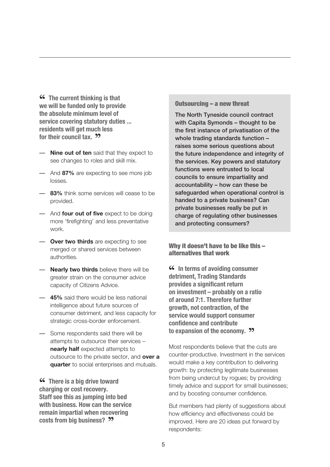**"CC** The current thinking is that **we will be funded only to provide the absolute minimum level of service covering statutory duties ... residents will get much less for their council tax. <sup>22</sup>** 

- **Nine out of ten** said that they expect to see changes to roles and skill mix.
- And **87%** are expecting to see more job losses.
- **83%** think some services will cease to be provided.
- And **four out of five** expect to be doing more 'firefighting' and less preventative work.
- **Over two thirds** are expecting to see merged or shared services between authorities.
- **Nearly two thirds** believe there will be greater strain on the consumer advice capacity of Citizens Advice.
- **45%** said there would be less national intelligence about future sources of consumer detriment, and less capacity for strategic cross-border enforcement.
- Some respondents said there will be attempts to outsource their services – **nearly half** expected attempts to outsource to the private sector, and **over a quarter** to social enterprises and mutuals.

**"CC** There is a big drive toward **charging or cost recovery. Staff see this as jumping into bed with business. How can the service remain impartial when recovering costs from big business? ??** 

#### Outsourcing – a new threat

The North Tyneside council contract with Capita Symonds – thought to be the first instance of privatisation of the whole trading standards function raises some serious questions about the future independence and integrity of the services. Key powers and statutory functions were entrusted to local councils to ensure impartiality and accountability – how can these be safeguarded when operational control is handed to a private business? Can private businesses really be put in charge of regulating other businesses and protecting consumers?

#### Why it doesn't have to be like this – alternatives that work

**46** In terms of avoiding consumer **detriment, Trading Standards provides a significant return on investment – probably on a ratio of around 7:1. Therefore further growth, not contraction, of the service would support consumer confidence and contribute to expansion of the economy. "**

Most respondents believe that the cuts are counter-productive. Investment in the services would make a key contribution to delivering growth: by protecting legitimate businesses from being undercut by rogues; by providing timely advice and support for small businesses; and by boosting consumer confidence.

But members had plenty of suggestions about how efficiency and effectiveness could be improved. Here are 20 ideas put forward by respondents: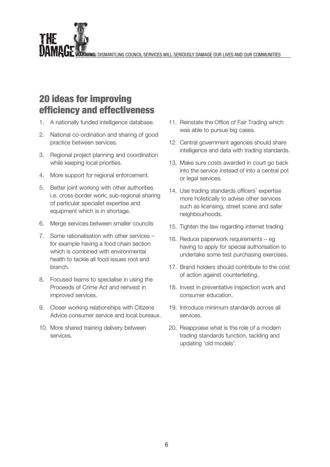WING: DISMANTLING COUNCIL SERVICES WILL SERIOUSLY DAMAGE OUR LIVES AND OUR COMMUNITIES

# 20 ideas for improving efficiency and effectiveness

- 1. A nationally funded intelligence database.
- 2. National co-ordination and sharing of good practice between services.
- 3. Regional project planning and coordination while keeping local priorities.
- 4. More support for regional enforcement.
- 5. Better joint working with other authorities i.e. cross-border work; sub-regional sharing of particular specialist expertise and equipment which is in shortage.
- 6. Merge services between smaller councils
- 7. Some rationalisation with other services for example having a food chain section which is combined with environmental health to tackle all food issues root and branch.
- 8. Focused teams to specialise in using the Proceeds of Crime Act and reinvest in improved services.
- 9. Closer working relationships with Citizens Advice consumer service and local bureaux.
- 10. More shared training delivery between services.
- 11. Reinstate the Office of Fair Trading which was able to pursue big cases.
- 12. Central government agencies should share intelligence and data with trading standards.
- 13. Make sure costs awarded in court go back into the service instead of into a central pot or legal services.
- 14. Use trading standards officers' expertise more holistically to advise other services such as licensing, street scene and safer neighbourhoods.
- 15. Tighten the law regarding internet trading
- 16. Reduce paperwork requirements eg having to apply for special authorisation to undertake some test purchasing exercises.
- 17. Brand holders should contribute to the cost of action against counterfeiting.
- 18. Invest in preventative inspection work and consumer education.
- 19. Introduce minimum standards across all services.
- 20. Reappraise what is the role of a modern trading standards function, tackling and updating 'old models'.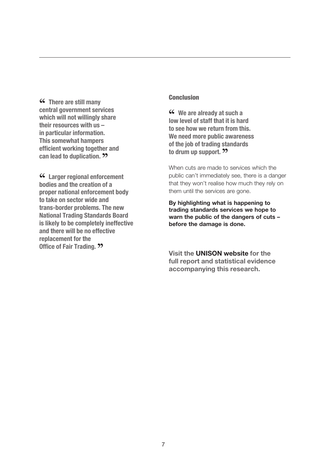**"CC** There are still many **central government services which will not willingly share their resources with us – in particular information. This somewhat hampers efficient working together and can lead to duplication. "**

**" Larger regional enforcement bodies and the creation of a proper national enforcement body to take on sector wide and trans-border problems. The new National Trading Standards Board is likely to be completely ineffective and there will be no effective replacement for the Office of Fair Trading. <sup>22</sup>** 

#### **Conclusion**

**46** We are already at such a low level of staff that it is hard **to see how we return from this. We need more public awareness of the job of trading standards to drum up support. "**

When cuts are made to services which the public can't immediately see, there is a danger that they won't realise how much they rely on them until the services are gone.

**By highlighting what is happening to trading standards services we hope to warn the public of the dangers of cuts – before the damage is done.**

**Visit the [UNISON](http://www.unison.org.uk) website for the full report and [statistical](http://www.unison.org.uk) evidence [accompanying](http://www.unison.org.uk) this research.**